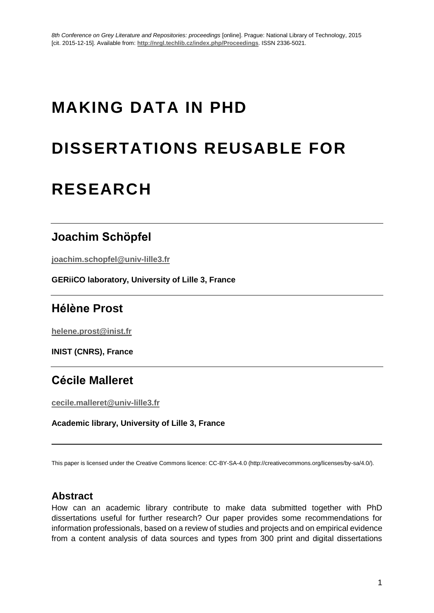# **MAKING DATA IN PHD**

# **DISSERTATIONS REUSABLE FOR**

# **RESEARCH**

### **Joachim Schöpfel**

**joachim.schopfel@univ-lille3.fr**

**GERiiCO laboratory, University of Lille 3, France**

## **Hélène Prost**

**helene.prost@inist.fr**

**INIST (CNRS), France**

## **Cécile Malleret**

**cecile.malleret@univ-lille3.fr**

**Academic library, University of Lille 3, France**

This paper is licensed under the Creative Commons licence: CC-BY-SA-4.0 (http://creativecommons.org/licenses/by-sa/4.0/).

#### **Abstract**

How can an academic library contribute to make data submitted together with PhD dissertations useful for further research? Our paper provides some recommendations for information professionals, based on a review of studies and projects and on empirical evidence from a content analysis of data sources and types from 300 print and digital dissertations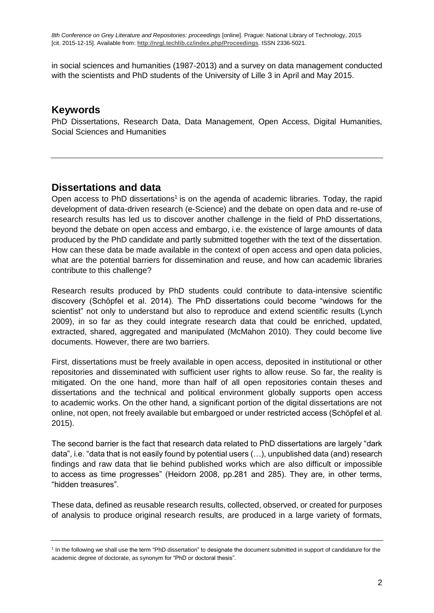in social sciences and humanities (1987-2013) and a survey on data management conducted with the scientists and PhD students of the University of Lille 3 in April and May 2015.

#### **Keywords**

PhD Dissertations, Research Data, Data Management, Open Access, Digital Humanities, Social Sciences and Humanities

#### **Dissertations and data**

Open access to PhD dissertations<sup>1</sup> is on the agenda of academic libraries. Today, the rapid development of data-driven research (e-Science) and the debate on open data and re-use of research results has led us to discover another challenge in the field of PhD dissertations, beyond the debate on open access and embargo, i.e. the existence of large amounts of data produced by the PhD candidate and partly submitted together with the text of the dissertation. How can these data be made available in the context of open access and open data policies, what are the potential barriers for dissemination and reuse, and how can academic libraries contribute to this challenge?

Research results produced by PhD students could contribute to data-intensive scientific discovery (Schöpfel et al. 2014). The PhD dissertations could become "windows for the scientist" not only to understand but also to reproduce and extend scientific results (Lynch 2009), in so far as they could integrate research data that could be enriched, updated, extracted, shared, aggregated and manipulated (McMahon 2010). They could become live documents. However, there are two barriers.

First, dissertations must be freely available in open access, deposited in institutional or other repositories and disseminated with sufficient user rights to allow reuse. So far, the reality is mitigated. On the one hand, more than half of all open repositories contain theses and dissertations and the technical and political environment globally supports open access to academic works. On the other hand, a significant portion of the digital dissertations are not online, not open, not freely available but embargoed or under restricted access (Schöpfel et al. 2015).

The second barrier is the fact that research data related to PhD dissertations are largely "dark data", i.e. "data that is not easily found by potential users (…), unpublished data (and) research findings and raw data that lie behind published works which are also difficult or impossible to access as time progresses" (Heidorn 2008, pp.281 and 285). They are, in other terms, "hidden treasures".

These data, defined as reusable research results, collected, observed, or created for purposes of analysis to produce original research results, are produced in a large variety of formats,

<sup>&</sup>lt;sup>1</sup> In the following we shall use the term "PhD dissertation" to designate the document submitted in support of candidature for the academic degree of doctorate, as synonym for "PhD or doctoral thesis".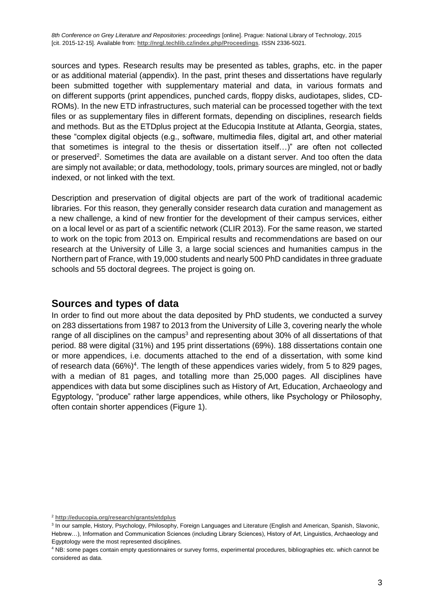sources and types. Research results may be presented as tables, graphs, etc. in the paper or as additional material (appendix). In the past, print theses and dissertations have regularly been submitted together with supplementary material and data, in various formats and on different supports (print appendices, punched cards, floppy disks, audiotapes, slides, CD-ROMs). In the new ETD infrastructures, such material can be processed together with the text files or as supplementary files in different formats, depending on disciplines, research fields and methods. But as the ETDplus project at the Educopia Institute at Atlanta, Georgia, states, these "complex digital objects (e.g., software, multimedia files, digital art, and other material that sometimes is integral to the thesis or dissertation itself…)" are often not collected or preserved<sup>2</sup>. Sometimes the data are available on a distant server. And too often the data are simply not available; or data, methodology, tools, primary sources are mingled, not or badly indexed, or not linked with the text.

Description and preservation of digital objects are part of the work of traditional academic libraries. For this reason, they generally consider research data curation and management as a new challenge, a kind of new frontier for the development of their campus services, either on a local level or as part of a scientific network (CLIR 2013). For the same reason, we started to work on the topic from 2013 on. Empirical results and recommendations are based on our research at the University of Lille 3, a large social sciences and humanities campus in the Northern part of France, with 19,000 students and nearly 500 PhD candidates in three graduate schools and 55 doctoral degrees. The project is going on.

#### **Sources and types of data**

In order to find out more about the data deposited by PhD students, we conducted a survey on 283 dissertations from 1987 to 2013 from the University of Lille 3, covering nearly the whole range of all disciplines on the campus<sup>3</sup> and representing about 30% of all dissertations of that period. 88 were digital (31%) and 195 print dissertations (69%). 188 dissertations contain one or more appendices, i.e. documents attached to the end of a dissertation, with some kind of research data  $(66%)^4$ . The length of these appendices varies widely, from 5 to 829 pages, with a median of 81 pages, and totalling more than 25,000 pages. All disciplines have appendices with data but some disciplines such as History of Art, Education, Archaeology and Egyptology, "produce" rather large appendices, while others, like Psychology or Philosophy, often contain shorter appendices (Figure 1).

<sup>2</sup> **<http://educopia.org/research/grants/etdplus>**

<sup>&</sup>lt;sup>3</sup> In our sample, History, Psychology, Philosophy, Foreign Languages and Literature (English and American, Spanish, Slavonic, Hebrew…), Information and Communication Sciences (including Library Sciences), History of Art, Linguistics, Archaeology and Egyptology were the most represented disciplines.

<sup>4</sup> NB: some pages contain empty questionnaires or survey forms, experimental procedures, bibliographies etc. which cannot be considered as data.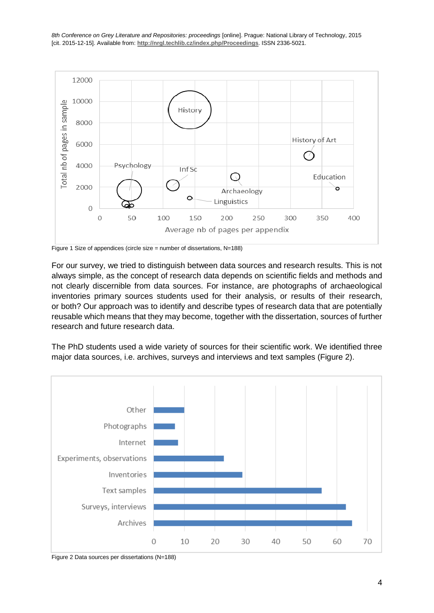

Figure 1 Size of appendices (circle size = number of dissertations, N=188)

For our survey, we tried to distinguish between data sources and research results. This is not always simple, as the concept of research data depends on scientific fields and methods and not clearly discernible from data sources. For instance, are photographs of archaeological inventories primary sources students used for their analysis, or results of their research, or both? Our approach was to identify and describe types of research data that are potentially reusable which means that they may become, together with the dissertation, sources of further research and future research data.

The PhD students used a wide variety of sources for their scientific work. We identified three major data sources, i.e. archives, surveys and interviews and text samples (Figure 2).



Figure 2 Data sources per dissertations (N=188)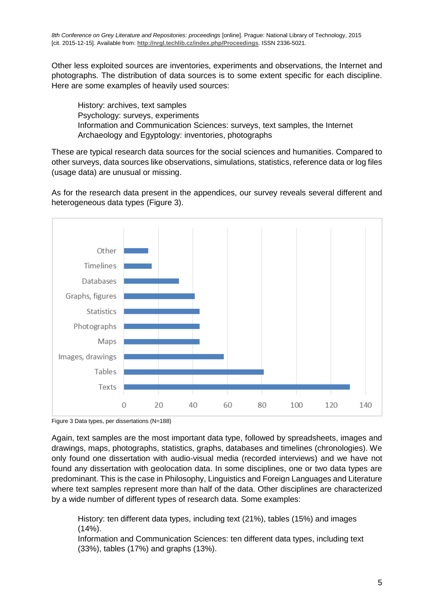Other less exploited sources are inventories, experiments and observations, the Internet and photographs. The distribution of data sources is to some extent specific for each discipline. Here are some examples of heavily used sources:

History: archives, text samples Psychology: surveys, experiments Information and Communication Sciences: surveys, text samples, the Internet Archaeology and Egyptology: inventories, photographs

These are typical research data sources for the social sciences and humanities. Compared to other surveys, data sources like observations, simulations, statistics, reference data or log files (usage data) are unusual or missing.

As for the research data present in the appendices, our survey reveals several different and heterogeneous data types (Figure 3).



Figure 3 Data types, per dissertations (N=188)

Again, text samples are the most important data type, followed by spreadsheets, images and drawings, maps, photographs, statistics, graphs, databases and timelines (chronologies). We only found one dissertation with audio-visual media (recorded interviews) and we have not found any dissertation with geolocation data. In some disciplines, one or two data types are predominant. This is the case in Philosophy, Linguistics and Foreign Languages and Literature where text samples represent more than half of the data. Other disciplines are characterized by a wide number of different types of research data. Some examples:

History: ten different data types, including text (21%), tables (15%) and images  $(14%).$ 

Information and Communication Sciences: ten different data types, including text (33%), tables (17%) and graphs (13%).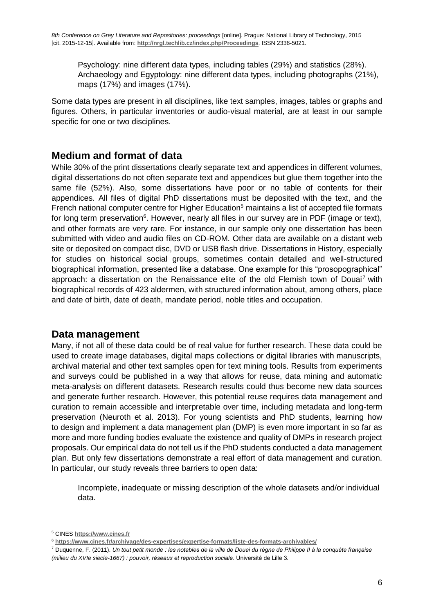Psychology: nine different data types, including tables (29%) and statistics (28%). Archaeology and Egyptology: nine different data types, including photographs (21%), maps (17%) and images (17%).

Some data types are present in all disciplines, like text samples, images, tables or graphs and figures. Others, in particular inventories or audio-visual material, are at least in our sample specific for one or two disciplines.

#### **Medium and format of data**

While 30% of the print dissertations clearly separate text and appendices in different volumes, digital dissertations do not often separate text and appendices but glue them together into the same file (52%). Also, some dissertations have poor or no table of contents for their appendices. All files of digital PhD dissertations must be deposited with the text, and the French national computer centre for Higher Education<sup>5</sup> maintains a list of accepted file formats for long term preservation<sup>6</sup>. However, nearly all files in our survey are in PDF (image or text), and other formats are very rare. For instance, in our sample only one dissertation has been submitted with video and audio files on CD-ROM. Other data are available on a distant web site or deposited on compact disc, DVD or USB flash drive. Dissertations in History, especially for studies on historical social groups, sometimes contain detailed and well-structured biographical information, presented like a database. One example for this "prosopographical" approach: a dissertation on the Renaissance elite of the old Flemish town of Douai<sup>7</sup> with biographical records of 423 aldermen, with structured information about, among others, place and date of birth, date of death, mandate period, noble titles and occupation.

#### **Data management**

Many, if not all of these data could be of real value for further research. These data could be used to create image databases, digital maps collections or digital libraries with manuscripts, archival material and other text samples open for text mining tools. Results from experiments and surveys could be published in a way that allows for reuse, data mining and automatic meta-analysis on different datasets. Research results could thus become new data sources and generate further research. However, this potential reuse requires data management and curation to remain accessible and interpretable over time, including metadata and long-term preservation (Neuroth et al. 2013). For young scientists and PhD students, learning how to design and implement a data management plan (DMP) is even more important in so far as more and more funding bodies evaluate the existence and quality of DMPs in research project proposals. Our empirical data do not tell us if the PhD students conducted a data management plan. But only few dissertations demonstrate a real effort of data management and curation. In particular, our study reveals three barriers to open data:

Incomplete, inadequate or missing description of the whole datasets and/or individual data.

<sup>5</sup> CINES **[https://www.cines.fr](https://www.cines.fr/)**

<sup>6</sup> **<https://www.cines.fr/archivage/des-expertises/expertise-formats/liste-des-formats-archivables/>**

<sup>7</sup> Duquenne, F. (2011). *Un tout petit monde : les notables de la ville de Douai du règne de Philippe II à la conquête française (milieu du XVIe siecle-1667) : pouvoir, réseaux et reproduction sociale*. Université de Lille 3.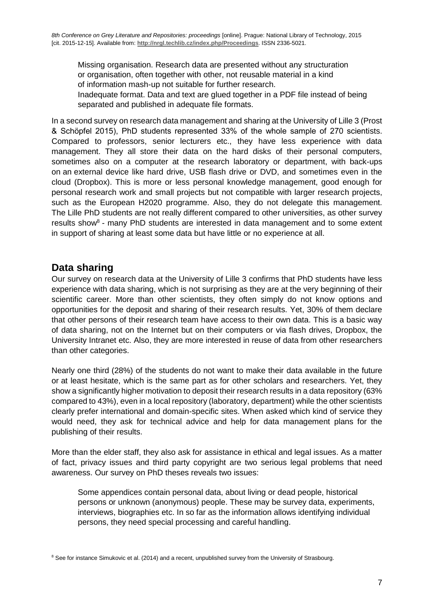Missing organisation. Research data are presented without any structuration or organisation, often together with other, not reusable material in a kind of information mash-up not suitable for further research. Inadequate format. Data and text are glued together in a PDF file instead of being separated and published in adequate file formats.

In a second survey on research data management and sharing at the University of Lille 3 (Prost & Schöpfel 2015), PhD students represented 33% of the whole sample of 270 scientists. Compared to professors, senior lecturers etc., they have less experience with data management. They all store their data on the hard disks of their personal computers, sometimes also on a computer at the research laboratory or department, with back-ups on an external device like hard drive, USB flash drive or DVD, and sometimes even in the cloud (Dropbox). This is more or less personal knowledge management, good enough for personal research work and small projects but not compatible with larger research projects, such as the European H2020 programme. Also, they do not delegate this management. The Lille PhD students are not really different compared to other universities, as other survey results show<sup>8</sup> - many PhD students are interested in data management and to some extent in support of sharing at least some data but have little or no experience at all.

#### **Data sharing**

Our survey on research data at the University of Lille 3 confirms that PhD students have less experience with data sharing, which is not surprising as they are at the very beginning of their scientific career. More than other scientists, they often simply do not know options and opportunities for the deposit and sharing of their research results. Yet, 30% of them declare that other persons of their research team have access to their own data. This is a basic way of data sharing, not on the Internet but on their computers or via flash drives, Dropbox, the University Intranet etc. Also, they are more interested in reuse of data from other researchers than other categories.

Nearly one third (28%) of the students do not want to make their data available in the future or at least hesitate, which is the same part as for other scholars and researchers. Yet, they show a significantly higher motivation to deposit their research results in a data repository (63% compared to 43%), even in a local repository (laboratory, department) while the other scientists clearly prefer international and domain-specific sites. When asked which kind of service they would need, they ask for technical advice and help for data management plans for the publishing of their results.

More than the elder staff, they also ask for assistance in ethical and legal issues. As a matter of fact, privacy issues and third party copyright are two serious legal problems that need awareness. Our survey on PhD theses reveals two issues:

Some appendices contain personal data, about living or dead people, historical persons or unknown (anonymous) people. These may be survey data, experiments, interviews, biographies etc. In so far as the information allows identifying individual persons, they need special processing and careful handling.

<sup>&</sup>lt;sup>8</sup> See for instance Simukovic et al. (2014) and a recent, unpublished survey from the University of Strasbourg.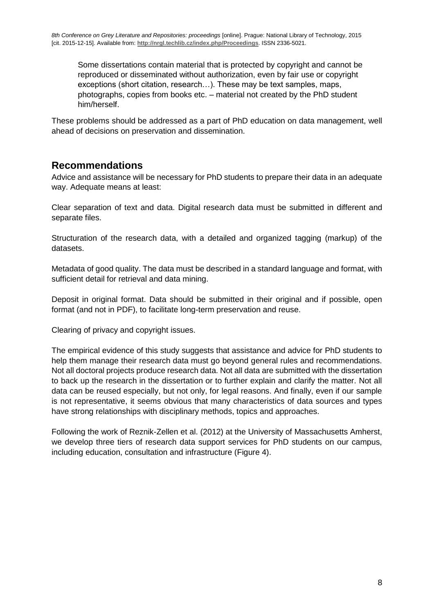Some dissertations contain material that is protected by copyright and cannot be reproduced or disseminated without authorization, even by fair use or copyright exceptions (short citation, research…). These may be text samples, maps, photographs, copies from books etc. – material not created by the PhD student him/herself.

These problems should be addressed as a part of PhD education on data management, well ahead of decisions on preservation and dissemination.

#### **Recommendations**

Advice and assistance will be necessary for PhD students to prepare their data in an adequate way. Adequate means at least:

Clear separation of text and data. Digital research data must be submitted in different and separate files.

Structuration of the research data, with a detailed and organized tagging (markup) of the datasets.

Metadata of good quality. The data must be described in a standard language and format, with sufficient detail for retrieval and data mining.

Deposit in original format. Data should be submitted in their original and if possible, open format (and not in PDF), to facilitate long-term preservation and reuse.

Clearing of privacy and copyright issues.

The empirical evidence of this study suggests that assistance and advice for PhD students to help them manage their research data must go beyond general rules and recommendations. Not all doctoral projects produce research data. Not all data are submitted with the dissertation to back up the research in the dissertation or to further explain and clarify the matter. Not all data can be reused especially, but not only, for legal reasons. And finally, even if our sample is not representative, it seems obvious that many characteristics of data sources and types have strong relationships with disciplinary methods, topics and approaches.

Following the work of Reznik-Zellen et al. (2012) at the University of Massachusetts Amherst, we develop three tiers of research data support services for PhD students on our campus, including education, consultation and infrastructure (Figure 4).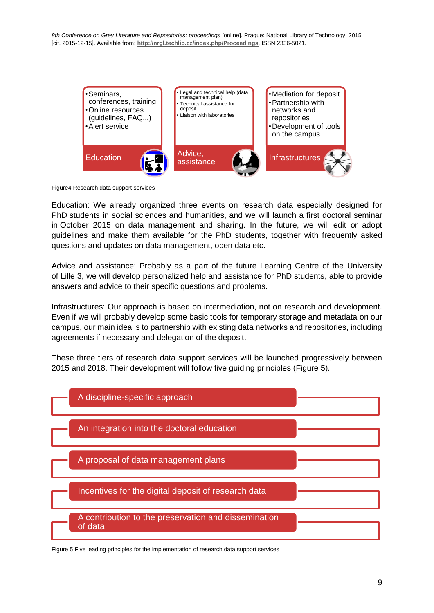

Figure4 Research data support services

Education: We already organized three events on research data especially designed for PhD students in social sciences and humanities, and we will launch a first doctoral seminar in October 2015 on data management and sharing. In the future, we will edit or adopt guidelines and make them available for the PhD students, together with frequently asked questions and updates on data management, open data etc.

Advice and assistance: Probably as a part of the future Learning Centre of the University of Lille 3, we will develop personalized help and assistance for PhD students, able to provide answers and advice to their specific questions and problems.

Infrastructures: Our approach is based on intermediation, not on research and development. Even if we will probably develop some basic tools for temporary storage and metadata on our campus, our main idea is to partnership with existing data networks and repositories, including agreements if necessary and delegation of the deposit.

These three tiers of research data support services will be launched progressively between 2015 and 2018. Their development will follow five guiding principles (Figure 5).



Figure 5 Five leading principles for the implementation of research data support services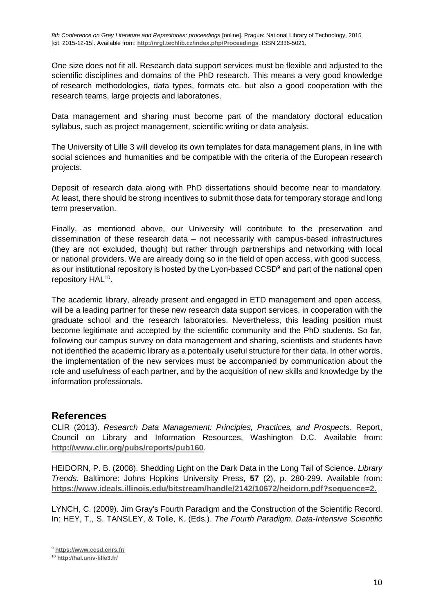One size does not fit all. Research data support services must be flexible and adjusted to the scientific disciplines and domains of the PhD research. This means a very good knowledge of research methodologies, data types, formats etc. but also a good cooperation with the research teams, large projects and laboratories.

Data management and sharing must become part of the mandatory doctoral education syllabus, such as project management, scientific writing or data analysis.

The University of Lille 3 will develop its own templates for data management plans, in line with social sciences and humanities and be compatible with the criteria of the European research projects.

Deposit of research data along with PhD dissertations should become near to mandatory. At least, there should be strong incentives to submit those data for temporary storage and long term preservation.

Finally, as mentioned above, our University will contribute to the preservation and dissemination of these research data – not necessarily with campus-based infrastructures (they are not excluded, though) but rather through partnerships and networking with local or national providers. We are already doing so in the field of open access, with good success, as our institutional repository is hosted by the Lyon-based CCSD<sup>9</sup> and part of the national open repository HAL<sup>10</sup>.

The academic library, already present and engaged in ETD management and open access, will be a leading partner for these new research data support services, in cooperation with the graduate school and the research laboratories. Nevertheless, this leading position must become legitimate and accepted by the scientific community and the PhD students. So far, following our campus survey on data management and sharing, scientists and students have not identified the academic library as a potentially useful structure for their data. In other words, the implementation of the new services must be accompanied by communication about the role and usefulness of each partner, and by the acquisition of new skills and knowledge by the information professionals.

#### **References**

CLIR (2013). *Research Data Management: Principles, Practices, and Prospects*. Report, Council on Library and Information Resources, Washington D.C. Available from: **<http://www.clir.org/pubs/reports/pub160>**.

HEIDORN, P. B. (2008). Shedding Light on the Dark Data in the Long Tail of Science. *Library Trends*. Baltimore: Johns Hopkins University Press, **57** (2), p. 280-299. Available from: **[https://www.ideals.illinois.edu/bitstream/handle/2142/10672/heidorn.pdf?sequence=2.](https://www.ideals.illinois.edu/bitstream/handle/2142/10672/heidorn.pdf?sequence=2)**

LYNCH, C. (2009). Jim Gray's Fourth Paradigm and the Construction of the Scientific Record. In: HEY, T., S. TANSLEY, & Tolle, K. (Eds.). *The Fourth Paradigm. Data-Intensive Scientific* 

<sup>9</sup> **<https://www.ccsd.cnrs.fr/>**

<sup>10</sup> **<http://hal.univ-lille3.fr/>**